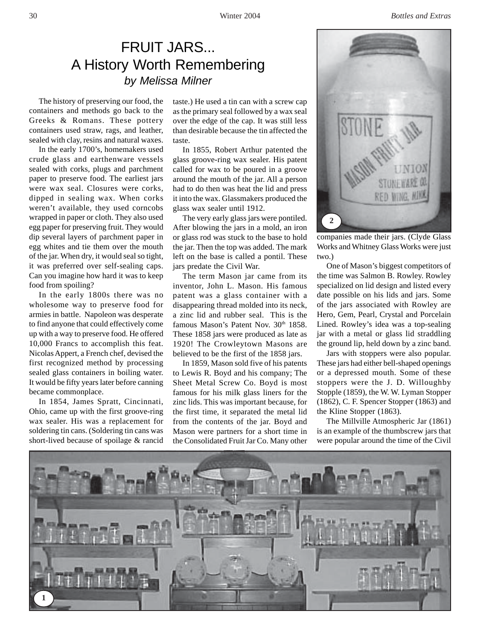## FRUIT JARS... A History Worth Remembering *by Melissa Milner*

The history of preserving our food, the containers and methods go back to the Greeks & Romans. These pottery containers used straw, rags, and leather, sealed with clay, resins and natural waxes.

In the early 1700's, homemakers used crude glass and earthenware vessels sealed with corks, plugs and parchment paper to preserve food. The earliest jars were wax seal. Closures were corks, dipped in sealing wax. When corks weren't available, they used corncobs wrapped in paper or cloth. They also used egg paper for preserving fruit. They would dip several layers of parchment paper in egg whites and tie them over the mouth of the jar. When dry, it would seal so tight, it was preferred over self-sealing caps. Can you imagine how hard it was to keep food from spoiling?

In the early 1800s there was no wholesome way to preserve food for armies in battle. Napoleon was desperate to find anyone that could effectively come up with a way to preserve food. He offered 10,000 Francs to accomplish this feat. Nicolas Appert, a French chef, devised the first recognized method by processing sealed glass containers in boiling water. It would be fifty years later before canning became commonplace.

In 1854, James Spratt, Cincinnati, Ohio, came up with the first groove-ring wax sealer. His was a replacement for soldering tin cans. (Soldering tin cans was short-lived because of spoilage & rancid

taste.) He used a tin can with a screw cap as the primary seal followed by a wax seal over the edge of the cap. It was still less than desirable because the tin affected the taste.

In 1855, Robert Arthur patented the glass groove-ring wax sealer. His patent called for wax to be poured in a groove around the mouth of the jar. All a person had to do then was heat the lid and press it into the wax. Glassmakers produced the glass wax sealer until 1912.

The very early glass jars were pontiled. After blowing the jars in a mold, an iron or glass rod was stuck to the base to hold the jar. Then the top was added. The mark left on the base is called a pontil. These jars predate the Civil War.

The term Mason jar came from its inventor, John L. Mason. His famous patent was a glass container with a disappearing thread molded into its neck, a zinc lid and rubber seal. This is the famous Mason's Patent Nov. 30<sup>th</sup> 1858. These 1858 jars were produced as late as 1920! The Crowleytown Masons are believed to be the first of the 1858 jars.

In 1859, Mason sold five of his patents to Lewis R. Boyd and his company; The Sheet Metal Screw Co. Boyd is most famous for his milk glass liners for the zinc lids. This was important because, for the first time, it separated the metal lid from the contents of the jar. Boyd and Mason were partners for a short time in the Consolidated Fruit Jar Co. Many other



companies made their jars. (Clyde Glass Works and Whitney Glass Works were just two.)

One of Mason's biggest competitors of the time was Salmon B. Rowley. Rowley specialized on lid design and listed every date possible on his lids and jars. Some of the jars associated with Rowley are Hero, Gem, Pearl, Crystal and Porcelain Lined. Rowley's idea was a top-sealing jar with a metal or glass lid straddling the ground lip, held down by a zinc band.

Jars with stoppers were also popular. These jars had either bell-shaped openings or a depressed mouth. Some of these stoppers were the J. D. Willoughby Stopple (1859), the W. W. Lyman Stopper (1862), C. F. Spencer Stopper (1863) and the Kline Stopper (1863).

The Millville Atmospheric Jar (1861) is an example of the thumbscrew jars that were popular around the time of the Civil

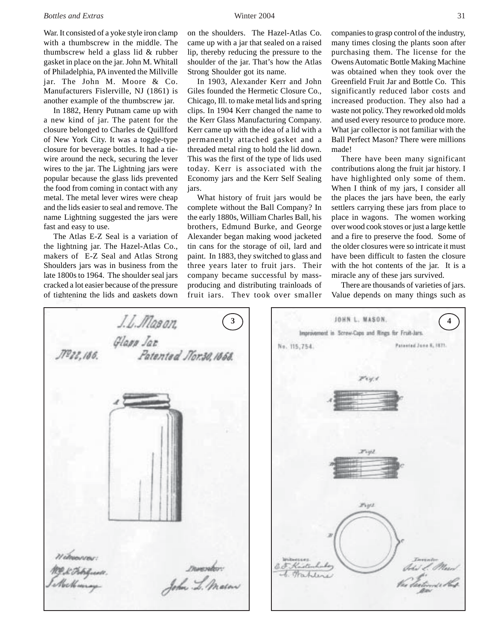War. It consisted of a yoke style iron clamp with a thumbscrew in the middle. The thumbscrew held a glass lid & rubber gasket in place on the jar. John M. Whitall of Philadelphia, PA invented the Millville jar. The John M. Moore & Co. Manufacturers Fislerville, NJ (1861) is another example of the thumbscrew jar.

In 1882, Henry Putnam came up with a new kind of jar. The patent for the closure belonged to Charles de Quillford of New York City. It was a toggle-type closure for beverage bottles. It had a tiewire around the neck, securing the lever wires to the jar. The Lightning jars were popular because the glass lids prevented the food from coming in contact with any metal. The metal lever wires were cheap and the lids easier to seal and remove. The name Lightning suggested the jars were fast and easy to use.

The Atlas E-Z Seal is a variation of the lightning jar. The Hazel-Atlas Co., makers of E-Z Seal and Atlas Strong Shoulders jars was in business from the late 1800s to 1964. The shoulder seal jars cracked a lot easier because of the pressure of tightening the lids and gaskets down

on the shoulders. The Hazel-Atlas Co. came up with a jar that sealed on a raised lip, thereby reducing the pressure to the shoulder of the jar. That's how the Atlas Strong Shoulder got its name.

In 1903, Alexander Kerr and John Giles founded the Hermetic Closure Co., Chicago, Ill. to make metal lids and spring clips. In 1904 Kerr changed the name to the Kerr Glass Manufacturing Company. Kerr came up with the idea of a lid with a permanently attached gasket and a threaded metal ring to hold the lid down. This was the first of the type of lids used today. Kerr is associated with the Economy jars and the Kerr Self Sealing jars.

What history of fruit jars would be complete without the Ball Company? In the early 1880s, William Charles Ball, his brothers, Edmund Burke, and George Alexander began making wood jacketed tin cans for the storage of oil, lard and paint. In 1883, they switched to glass and three years later to fruit jars. Their company became successful by massproducing and distributing trainloads of fruit jars. They took over smaller

companies to grasp control of the industry, many times closing the plants soon after purchasing them. The license for the Owens Automatic Bottle Making Machine was obtained when they took over the Greenfield Fruit Jar and Bottle Co. This significantly reduced labor costs and increased production. They also had a waste not policy. They reworked old molds and used every resource to produce more. What jar collector is not familiar with the Ball Perfect Mason? There were millions made!

There have been many significant contributions along the fruit jar history. I have highlighted only some of them. When I think of my jars, I consider all the places the jars have been, the early settlers carrying these jars from place to place in wagons. The women working over wood cook stoves or just a large kettle and a fire to preserve the food. Some of the older closures were so intricate it must have been difficult to fasten the closure with the hot contents of the jar. It is a miracle any of these jars survived.

There are thousands of varieties of jars. Value depends on many things such as



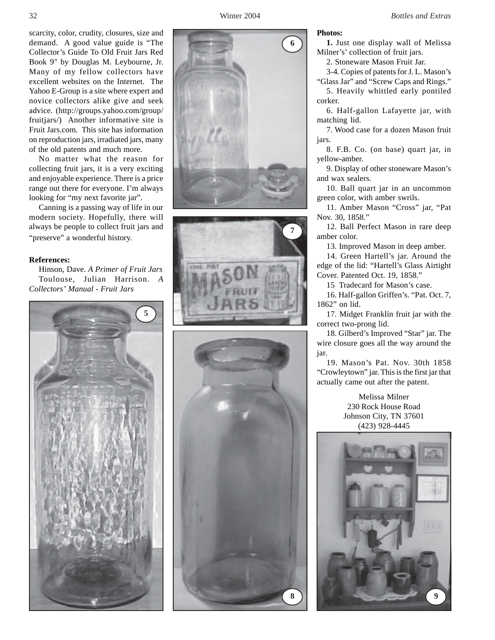scarcity, color, crudity, closures, size and demand. A good value guide is "The Collector's Guide To Old Fruit Jars Red Book 9" by Douglas M. Leybourne, Jr. Many of my fellow collectors have excellent websites on the Internet. The Yahoo E-Group is a site where expert and novice collectors alike give and seek advice. (http://groups.yahoo.com/group/ fruitjars/) Another informative site is Fruit Jars.com. This site has information on reproduction jars, irradiated jars, many of the old patents and much more.

No matter what the reason for collecting fruit jars, it is a very exciting and enjoyable experience. There is a price range out there for everyone. I'm always looking for "my next favorite jar".

Canning is a passing way of life in our modern society. Hopefully, there will always be people to collect fruit jars and "preserve" a wonderful history.

## **References:**

Hinson, Dave. *A Primer of Fruit Jars* Toulouse, Julian Harrison. *A Collectors' Manual - Fruit Jars*









## **Photos:**

**1.** Just one display wall of Melissa Milner's' collection of fruit jars.

2. Stoneware Mason Fruit Jar.

3-4. Copies of patents for J. L. Mason's

"Glass Jar" and "Screw Caps and Rings." 5. Heavily whittled early pontiled

corker. 6. Half-gallon Lafayette jar, with matching lid.

7. Wood case for a dozen Mason fruit jars.

8. F.B. Co. (on base) quart jar, in yellow-amber.

9. Display of other stoneware Mason's and wax sealers.

10. Ball quart jar in an uncommon green color, with amber swrils.

11. Amber Mason "Cross" jar, "Pat Nov. 30, 1858."

12. Ball Perfect Mason in rare deep amber color.

13. Improved Mason in deep amber.

14. Green Hartell's jar. Around the edge of the lid: "Hartell's Glass Airtight Cover. Patented Oct. 19, 1858."

15 Tradecard for Mason's case.

16. Half-gallon Griffen's. "Pat. Oct. 7, 1862" on lid.

17. Midget Franklin fruit jar with the correct two-prong lid.

18. Gilberd's Improved "Star" jar. The wire closure goes all the way around the jar.

19. Mason's Pat. Nov. 30th 1858 "Crowleytown" jar. This is the first jar that actually came out after the patent.

> Melissa Milner 230 Rock House Road Johnson City, TN 37601 (423) 928-4445